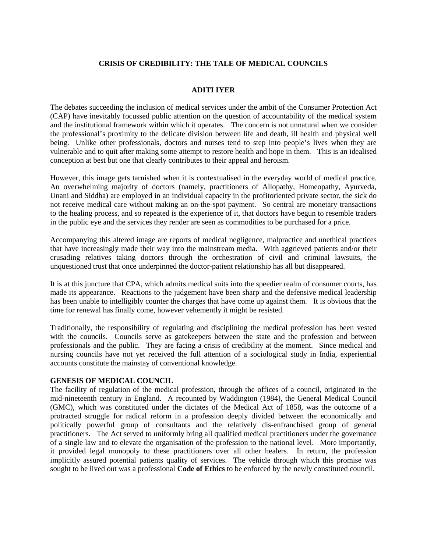# **CRISIS OF CREDIBILITY: THE TALE OF MEDICAL COUNCILS**

### **ADITI IYER**

The debates succeeding the inclusion of medical services under the ambit of the Consumer Protection Act (CAP) have inevitably focussed public attention on the question of accountability of the medical system and the institutional framework within which it operates. The concern is not unnatural when we consider the professional's proximity to the delicate division between life and death, ill health and physical well being. Unlike other professionals, doctors and nurses tend to step into people's lives when they are vulnerable and to quit after making some attempt to restore health and hope in them. This is an idealised conception at best but one that clearly contributes to their appeal and heroism.

However, this image gets tarnished when it is contextualised in the everyday world of medical practice. An overwhelming majority of doctors (namely, practitioners of Allopathy, Homeopathy, Ayurveda, Unani and Siddha) are employed in an individual capacity in the profitoriented private sector, the sick do not receive medical care without making an on-the-spot payment. So central are monetary transactions to the healing process, and so repeated is the experience of it, that doctors have begun to resemble traders in the public eye and the services they render are seen as commodities to be purchased for a price.

Accompanying this altered image are reports of medical negligence, malpractice and unethical practices that have increasingly made their way into the mainstream media. With aggrieved patients and/or their crusading relatives taking doctors through the orchestration of civil and criminal lawsuits, the unquestioned trust that once underpinned the doctor-patient relationship has all but disappeared.

It is at this juncture that CPA, which admits medical suits into the speedier realm of consumer courts, has made its appearance. Reactions to the judgement have been sharp and the defensive medical leadership has been unable to intelligibly counter the charges that have come up against them. It is obvious that the time for renewal has finally come, however vehemently it might be resisted.

Traditionally, the responsibility of regulating and disciplining the medical profession has been vested with the councils. Councils serve as gatekeepers between the state and the profession and between professionals and the public. They are facing a crisis of credibility at the moment. Since medical and nursing councils have not yet received the full attention of a sociological study in India, experiential accounts constitute the mainstay of conventional knowledge.

#### **GENESIS OF MEDICAL COUNCIL**

The facility of regulation of the medical profession, through the offices of a council, originated in the mid-nineteenth century in England. A recounted by Waddington (1984), the General Medical Council (GMC), which was constituted under the dictates of the Medical Act of 1858, was the outcome of a protracted struggle for radical reform in a profession deeply divided between the economically and politically powerful group of consultants and the relatively dis-enfranchised group of general practitioners. The Act served to uniformly bring all qualified medical practitioners under the governance of a single law and to elevate the organisation of the profession to the national level. More importantly, it provided legal monopoly to these practitioners over all other healers. In return, the profession implicitly assured potential patients quality of services. The vehicle through which this promise was sought to be lived out was a professional **Code of Ethics** to be enforced by the newly constituted council.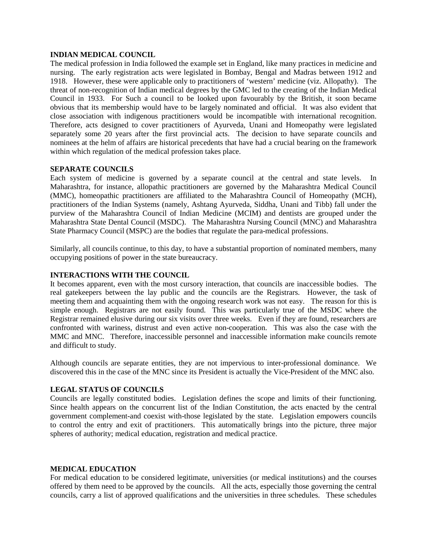#### **INDIAN MEDICAL COUNCIL**

The medical profession in India followed the example set in England, like many practices in medicine and nursing. The early registration acts were legislated in Bombay, Bengal and Madras between 1912 and 1918. However, these were applicable only to practitioners of 'western' medicine (viz. Allopathy). The threat of non-recognition of Indian medical degrees by the GMC led to the creating of the Indian Medical Council in 1933. For Such a council to be looked upon favourably by the British, it soon became obvious that its membership would have to be largely nominated and official. It was also evident that close association with indigenous practitioners would be incompatible with international recognition. Therefore, acts designed to cover practitioners of Ayurveda, Unani and Homeopathy were legislated separately some 20 years after the first provincial acts. The decision to have separate councils and nominees at the helm of affairs are historical precedents that have had a crucial bearing on the framework within which regulation of the medical profession takes place.

### **SEPARATE COUNCILS**

Each system of medicine is governed by a separate council at the central and state levels. In Maharashtra, for instance, allopathic practitioners are governed by the Maharashtra Medical Council (MMC), homeopathic practitioners are affiliated to the Maharashtra Council of Homeopathy (MCH), practitioners of the Indian Systems (namely, Ashtang Ayurveda, Siddha, Unani and Tibb) fall under the purview of the Maharashtra Council of Indian Medicine (MCIM) and dentists are grouped under the Maharashtra State Dental Council (MSDC). The Maharashtra Nursing Council (MNC) and Maharashtra State Pharmacy Council (MSPC) are the bodies that regulate the para-medical professions.

Similarly, all councils continue, to this day, to have a substantial proportion of nominated members, many occupying positions of power in the state bureaucracy.

#### **INTERACTIONS WITH THE COUNCIL**

It becomes apparent, even with the most cursory interaction, that councils are inaccessible bodies. The real gatekeepers between the lay public and the councils are the Registrars. However, the task of meeting them and acquainting them with the ongoing research work was not easy. The reason for this is simple enough. Registrars are not easily found. This was particularly true of the MSDC where the Registrar remained elusive during our six visits over three weeks. Even if they are found, researchers are confronted with wariness, distrust and even active non-cooperation. This was also the case with the MMC and MNC. Therefore, inaccessible personnel and inaccessible information make councils remote and difficult to study.

Although councils are separate entities, they are not impervious to inter-professional dominance. We discovered this in the case of the MNC since its President is actually the Vice-President of the MNC also.

# **LEGAL STATUS OF COUNCILS**

Councils are legally constituted bodies. Legislation defines the scope and limits of their functioning. Since health appears on the concurrent list of the Indian Constitution, the acts enacted by the central government complement-and coexist with-those legislated by the state. Legislation empowers councils to control the entry and exit of practitioners. This automatically brings into the picture, three major spheres of authority; medical education, registration and medical practice.

#### **MEDICAL EDUCATION**

For medical education to be considered legitimate, universities (or medical institutions) and the courses offered by them need to be approved by the councils. All the acts, especially those governing the central councils, carry a list of approved qualifications and the universities in three schedules. These schedules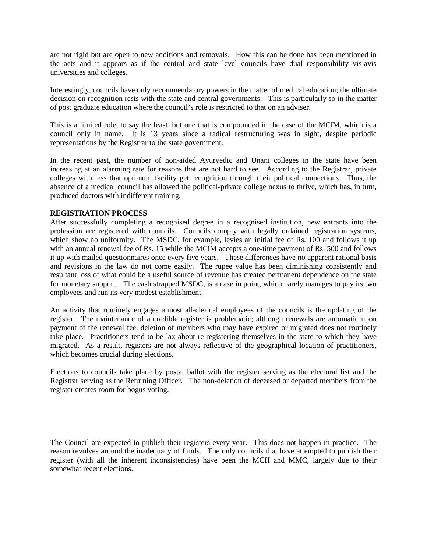are not rigid but are open to new additions and removals. How this can be done has been mentioned in the acts and it appears as if the central and state level councils have dual responsibility vis-avis universities and colleges.

Interestingly, councils have only recommendatory powers in the matter of medical education; the ultimate decision on recognition rests with the state and central governments. This is particularly so in the matter of post graduate education where the council's role is restricted to that on an adviser.

This is a limited role, to say the least, but one that is compounded in the case of the MCIM, which is a council only in name. It is 13 years since a radical restructuring was in sight, despite periodic representations by the Registrar to the state government.

In the recent past, the number of non-aided Ayurvedic and Unani colleges in the state have been increasing at an alarming rate for reasons that are not hard to see. According to the Registrar, private colleges with less that optimum facility get recognition through their political connections. Thus, the absence of a medical council has allowed the political-private college nexus to thrive, which has, in turn, produced doctors with indifferent training.

# **REGISTRATION PROCESS**

After successfully completing a recognised degree in a recognised institution, new entrants into the profession are registered with councils. Councils comply with legally ordained registration systems, which show no uniformity. The MSDC, for example, levies an initial fee of Rs. 100 and follows it up with an annual renewal fee of Rs. 15 while the MCIM accepts a one-time payment of Rs. 500 and follows it up with mailed questionnaires once every five years. These differences have no apparent rational basis and revisions in the law do not come easily. The rupee value has been diminishing consistently and resultant loss of what could be a useful source of revenue has created permanent dependence on the state for monetary support. The cash strapped MSDC, is a case in point, which barely manages to pay its two employees and run its very modest establishment.

An activity that routinely engages almost all-clerical employees of the councils is the updating of the register. The maintenance of a credible register is problematic; although renewals are automatic upon payment of the renewal fee, deletion of members who may have expired or migrated does not routinely take place. Practitioners tend to be lax about re-registering themselves in the state to which they have migrated. As a result, registers are not always reflective of the geographical location of practitioners, which becomes crucial during elections.

Elections to councils take place by postal ballot with the register serving as the electoral list and the Registrar serving as the Returning Officer. The non-deletion of deceased or departed members from the register creates room for bogus voting.

The Council are expected to publish their registers every year. This does not happen in practice. The reason revolves around the inadequacy of funds. The only councils that have attempted to publish their register (with all the inherent inconsistencies) have been the MCH and MMC, largely due to their somewhat recent elections.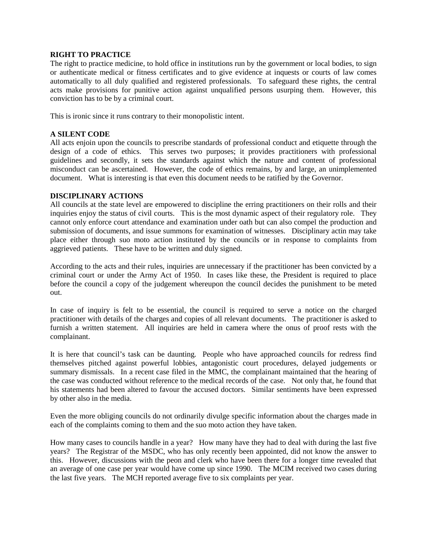### **RIGHT TO PRACTICE**

The right to practice medicine, to hold office in institutions run by the government or local bodies, to sign or authenticate medical or fitness certificates and to give evidence at inquests or courts of law comes automatically to all duly qualified and registered professionals. To safeguard these rights, the central acts make provisions for punitive action against unqualified persons usurping them. However, this conviction has to be by a criminal court.

This is ironic since it runs contrary to their monopolistic intent.

# **A SILENT CODE**

All acts enjoin upon the councils to prescribe standards of professional conduct and etiquette through the design of a code of ethics. This serves two purposes; it provides practitioners with professional guidelines and secondly, it sets the standards against which the nature and content of professional misconduct can be ascertained. However, the code of ethics remains, by and large, an unimplemented document. What is interesting is that even this document needs to be ratified by the Governor.

# **DISCIPLINARY ACTIONS**

All councils at the state level are empowered to discipline the erring practitioners on their rolls and their inquiries enjoy the status of civil courts. This is the most dynamic aspect of their regulatory role. They cannot only enforce court attendance and examination under oath but can also compel the production and submission of documents, and issue summons for examination of witnesses. Disciplinary actin may take place either through suo moto action instituted by the councils or in response to complaints from aggrieved patients. These have to be written and duly signed.

According to the acts and their rules, inquiries are unnecessary if the practitioner has been convicted by a criminal court or under the Army Act of 1950. In cases like these, the President is required to place before the council a copy of the judgement whereupon the council decides the punishment to be meted out.

In case of inquiry is felt to be essential, the council is required to serve a notice on the charged practitioner with details of the charges and copies of all relevant documents. The practitioner is asked to furnish a written statement. All inquiries are held in camera where the onus of proof rests with the complainant.

It is here that council's task can be daunting. People who have approached councils for redress find themselves pitched against powerful lobbies, antagonistic court procedures, delayed judgements or summary dismissals. In a recent case filed in the MMC, the complainant maintained that the hearing of the case was conducted without reference to the medical records of the case. Not only that, he found that his statements had been altered to favour the accused doctors. Similar sentiments have been expressed by other also in the media.

Even the more obliging councils do not ordinarily divulge specific information about the charges made in each of the complaints coming to them and the suo moto action they have taken.

How many cases to councils handle in a year? How many have they had to deal with during the last five years? The Registrar of the MSDC, who has only recently been appointed, did not know the answer to this. However, discussions with the peon and clerk who have been there for a longer time revealed that an average of one case per year would have come up since 1990. The MCIM received two cases during the last five years. The MCH reported average five to six complaints per year.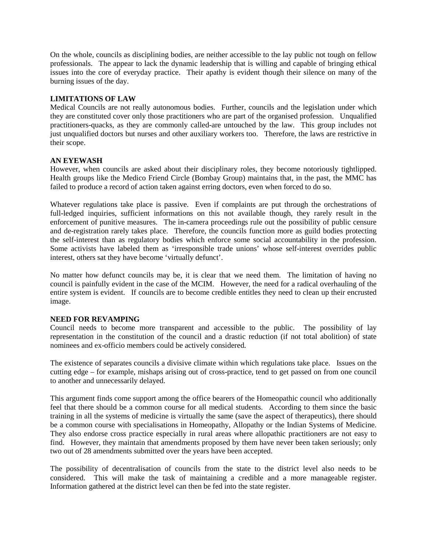On the whole, councils as disciplining bodies, are neither accessible to the lay public not tough on fellow professionals. The appear to lack the dynamic leadership that is willing and capable of bringing ethical issues into the core of everyday practice. Their apathy is evident though their silence on many of the burning issues of the day.

### **LIMITATIONS OF LAW**

Medical Councils are not really autonomous bodies. Further, councils and the legislation under which they are constituted cover only those practitioners who are part of the organised profession. Unqualified practitioners-quacks, as they are commonly called-are untouched by the law. This group includes not just unqualified doctors but nurses and other auxiliary workers too. Therefore, the laws are restrictive in their scope.

# **AN EYEWASH**

However, when councils are asked about their disciplinary roles, they become notoriously tightlipped. Health groups like the Medico Friend Circle (Bombay Group) maintains that, in the past, the MMC has failed to produce a record of action taken against erring doctors, even when forced to do so.

Whatever regulations take place is passive. Even if complaints are put through the orchestrations of full-ledged inquiries, sufficient informations on this not available though, they rarely result in the enforcement of punitive measures. The in-camera proceedings rule out the possibility of public censure and de-registration rarely takes place. Therefore, the councils function more as guild bodies protecting the self-interest than as regulatory bodies which enforce some social accountability in the profession. Some activists have labeled them as 'irresponsible trade unions' whose self-interest overrides public interest, others sat they have become 'virtually defunct'.

No matter how defunct councils may be, it is clear that we need them. The limitation of having no council is painfully evident in the case of the MCIM. However, the need for a radical overhauling of the entire system is evident. If councils are to become credible entitles they need to clean up their encrusted image.

#### **NEED FOR REVAMPING**

Council needs to become more transparent and accessible to the public. The possibility of lay representation in the constitution of the council and a drastic reduction (if not total abolition) of state nominees and ex-officio members could be actively considered.

The existence of separates councils a divisive climate within which regulations take place. Issues on the cutting edge – for example, mishaps arising out of cross-practice, tend to get passed on from one council to another and unnecessarily delayed.

This argument finds come support among the office bearers of the Homeopathic council who additionally feel that there should be a common course for all medical students. According to them since the basic training in all the systems of medicine is virtually the same (save the aspect of therapeutics), there should be a common course with specialisations in Homeopathy, Allopathy or the Indian Systems of Medicine. They also endorse cross practice especially in rural areas where allopathic practitioners are not easy to find. However, they maintain that amendments proposed by them have never been taken seriously; only two out of 28 amendments submitted over the years have been accepted.

The possibility of decentralisation of councils from the state to the district level also needs to be considered. This will make the task of maintaining a credible and a more manageable register. Information gathered at the district level can then be fed into the state register.